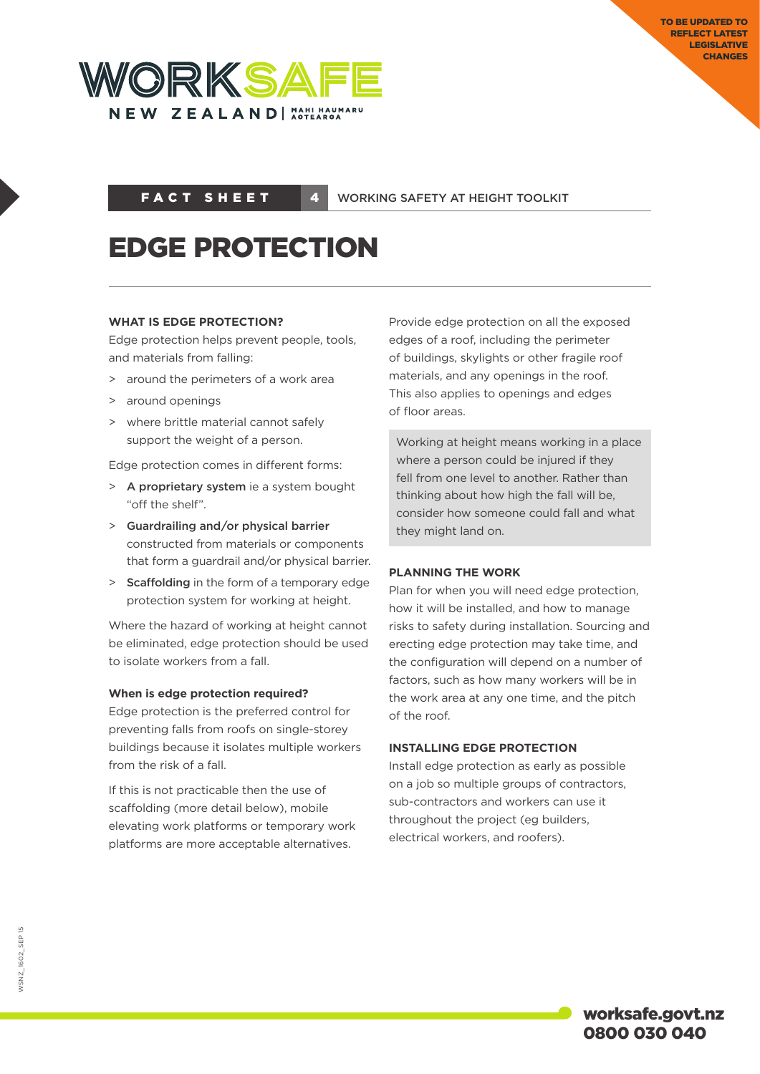

FACT SHEET 4

WORKING SAFETY AT HEIGHT TOOLKIT

# EDGE PROTECTION

# **WHAT IS EDGE PROTECTION?**

Edge protection helps prevent people, tools, and materials from falling:

- > around the perimeters of a work area
- > around openings
- > where brittle material cannot safely support the weight of a person.

Edge protection comes in different forms:

- > A proprietary system ie a system bought "off the shelf".
- > Guardrailing and/or physical barrier constructed from materials or components that form a guardrail and/or physical barrier.
- > Scaffolding in the form of a temporary edge protection system for working at height.

Where the hazard of working at height cannot be eliminated, edge protection should be used to isolate workers from a fall.

# **When is edge protection required?**

Edge protection is the preferred control for preventing falls from roofs on single-storey buildings because it isolates multiple workers from the risk of a fall.

If this is not practicable then the use of scaffolding (more detail below), mobile elevating work platforms or temporary work platforms are more acceptable alternatives.

Provide edge protection on all the exposed edges of a roof, including the perimeter of buildings, skylights or other fragile roof materials, and any openings in the roof. This also applies to openings and edges of floor areas.

Working at height means working in a place where a person could be injured if they fell from one level to another. Rather than thinking about how high the fall will be, consider how someone could fall and what they might land on.

# **PLANNING THE WORK**

Plan for when you will need edge protection, how it will be installed, and how to manage risks to safety during installation. Sourcing and erecting edge protection may take time, and the configuration will depend on a number of factors, such as how many workers will be in the work area at any one time, and the pitch of the roof.

# **INSTALLING EDGE PROTECTION**

Install edge protection as early as possible on a job so multiple groups of contractors, sub-contractors and workers can use it throughout the project (eg builders, electrical workers, and roofers).

**NSNZ\_1602\_SEP15** WSNZ\_1602\_Sep 15

> worksafe.govt.nz 0800 030 040